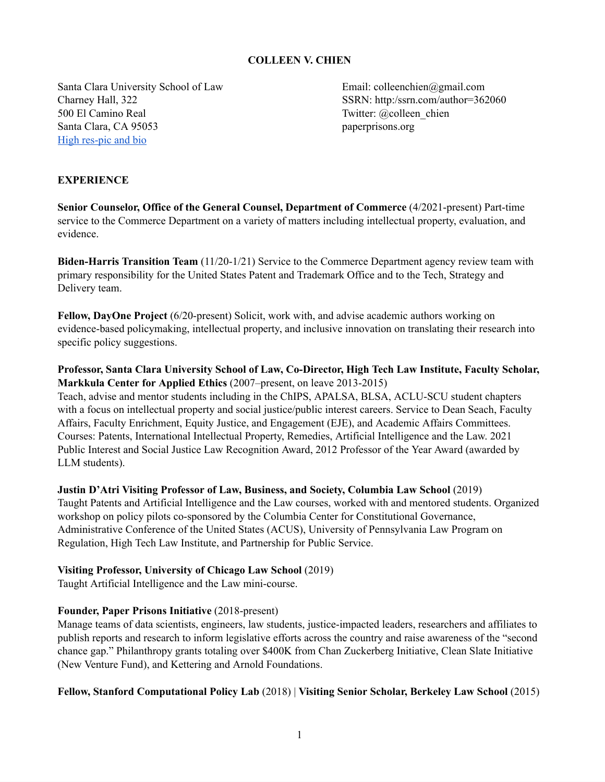### **COLLEEN V. CHIEN**

Santa Clara University School of Law Email: colleenchien@gmail.com Charney Hall, 322 SSRN: http:/ssrn.com/author=362060 500 El Camino Real Twitter: @colleen\_chien Santa Clara, CA 95053 paperprisons.org High [res-pic](https://docs.google.com/document/d/1jcBUAtNVRILCvsHW9YntXl-ID0cp_D41KtaTbLW76DA/edit?usp=sharing) and bio

# **EXPERIENCE**

**Senior Counselor, Office of the General Counsel, Department of Commerce** (4/2021-present) Part-time service to the Commerce Department on a variety of matters including intellectual property, evaluation, and evidence.

**Biden-Harris Transition Team** (11/20-1/21) Service to the Commerce Department agency review team with primary responsibility for the United States Patent and Trademark Office and to the Tech, Strategy and Delivery team.

**Fellow, DayOne Project** (6/20-present) Solicit, work with, and advise academic authors working on evidence-based policymaking, intellectual property, and inclusive innovation on translating their research into specific policy suggestions.

#### **Professor, Santa Clara University School of Law, Co-Director, High Tech Law Institute, Faculty Scholar, Markkula Center for Applied Ethics** (2007–present, on leave 2013-2015)

Teach, advise and mentor students including in the ChIPS, APALSA, BLSA, ACLU-SCU student chapters with a focus on intellectual property and social justice/public interest careers. Service to Dean Seach, Faculty Affairs, Faculty Enrichment, Equity Justice, and Engagement (EJE), and Academic Affairs Committees. Courses: Patents, International Intellectual Property, Remedies, Artificial Intelligence and the Law. 2021 Public Interest and Social Justice Law Recognition Award, 2012 Professor of the Year Award (awarded by LLM students).

**Justin D'Atri Visiting Professor of Law, Business, and Society, Columbia Law School** (2019) Taught Patents and Artificial Intelligence and the Law courses, worked with and mentored students. Organized workshop on policy pilots co-sponsored by the Columbia Center for Constitutional Governance, Administrative Conference of the United States (ACUS), University of Pennsylvania Law Program on Regulation, High Tech Law Institute, and Partnership for Public Service.

#### **Visiting Professor, University of Chicago Law School** (2019)

Taught Artificial Intelligence and the Law mini-course.

#### **Founder, Paper Prisons Initiative** (2018-present)

Manage teams of data scientists, engineers, law students, justice-impacted leaders, researchers and affiliates to publish reports and research to inform legislative efforts across the country and raise awareness of the "second chance gap." Philanthropy grants totaling over \$400K from Chan Zuckerberg Initiative, Clean Slate Initiative (New Venture Fund), and Kettering and Arnold Foundations.

# **Fellow, Stanford Computational Policy Lab** (2018) | **Visiting Senior Scholar, Berkeley Law School** (2015)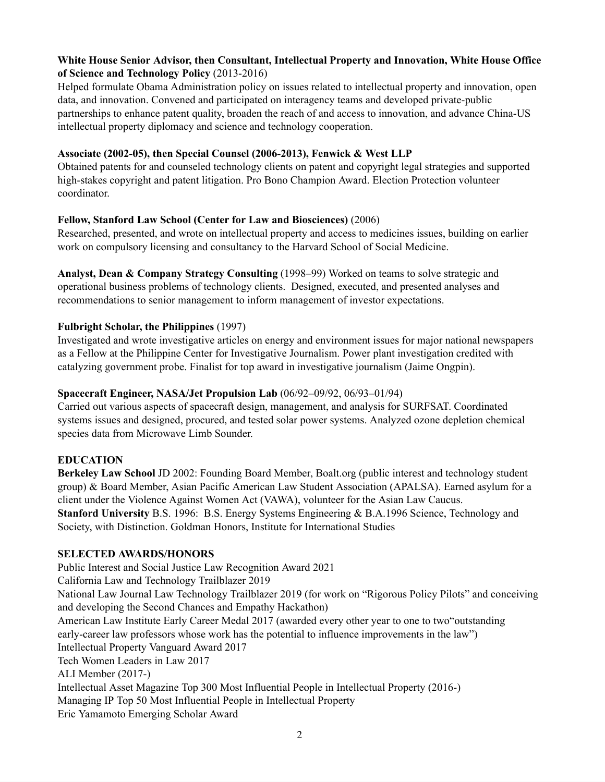# **White House Senior Advisor, then Consultant, Intellectual Property and Innovation, White House Office of Science and Technology Policy** (2013-2016)

Helped formulate Obama Administration policy on issues related to intellectual property and innovation, open data, and innovation. Convened and participated on interagency teams and developed private-public partnerships to enhance patent quality, broaden the reach of and access to innovation, and advance China-US intellectual property diplomacy and science and technology cooperation.

### **Associate (2002-05), then Special Counsel (2006-2013), Fenwick & West LLP**

Obtained patents for and counseled technology clients on patent and copyright legal strategies and supported high-stakes copyright and patent litigation. Pro Bono Champion Award. Election Protection volunteer coordinator.

# **Fellow, Stanford Law School (Center for Law and Biosciences)** (2006)

Researched, presented, and wrote on intellectual property and access to medicines issues, building on earlier work on compulsory licensing and consultancy to the Harvard School of Social Medicine.

**Analyst, Dean & Company Strategy Consulting** (1998–99) Worked on teams to solve strategic and operational business problems of technology clients. Designed, executed, and presented analyses and recommendations to senior management to inform management of investor expectations.

# **Fulbright Scholar, the Philippines** (1997)

Investigated and wrote investigative articles on energy and environment issues for major national newspapers as a Fellow at the Philippine Center for Investigative Journalism. Power plant investigation credited with catalyzing government probe. Finalist for top award in investigative journalism (Jaime Ongpin).

### **Spacecraft Engineer, NASA/Jet Propulsion Lab** (06/92–09/92, 06/93–01/94)

Carried out various aspects of spacecraft design, management, and analysis for SURFSAT. Coordinated systems issues and designed, procured, and tested solar power systems. Analyzed ozone depletion chemical species data from Microwave Limb Sounder.

#### **EDUCATION**

**Berkeley Law School** JD 2002: Founding Board Member, Boalt.org (public interest and technology student group) & Board Member, Asian Pacific American Law Student Association (APALSA). Earned asylum for a client under the Violence Against Women Act (VAWA), volunteer for the Asian Law Caucus. **Stanford University** B.S. 1996: B.S. Energy Systems Engineering & B.A.1996 Science, Technology and Society, with Distinction. Goldman Honors, Institute for International Studies

# **SELECTED AWARDS/HONORS**

Public Interest and Social Justice Law Recognition Award 2021 California Law and Technology Trailblazer 2019 National Law Journal Law Technology Trailblazer 2019 (for work on "Rigorous Policy Pilots" and conceiving and developing the Second Chances and Empathy Hackathon) American Law Institute Early Career Medal 2017 (awarded every other year to one to two"outstanding early-career law professors whose work has the potential to influence improvements in the law") Intellectual Property Vanguard Award 2017 Tech Women Leaders in Law 2017 ALI Member (2017-) Intellectual Asset Magazine Top 300 Most Influential People in Intellectual Property (2016-) Managing IP Top 50 Most Influential People in Intellectual Property Eric Yamamoto Emerging Scholar Award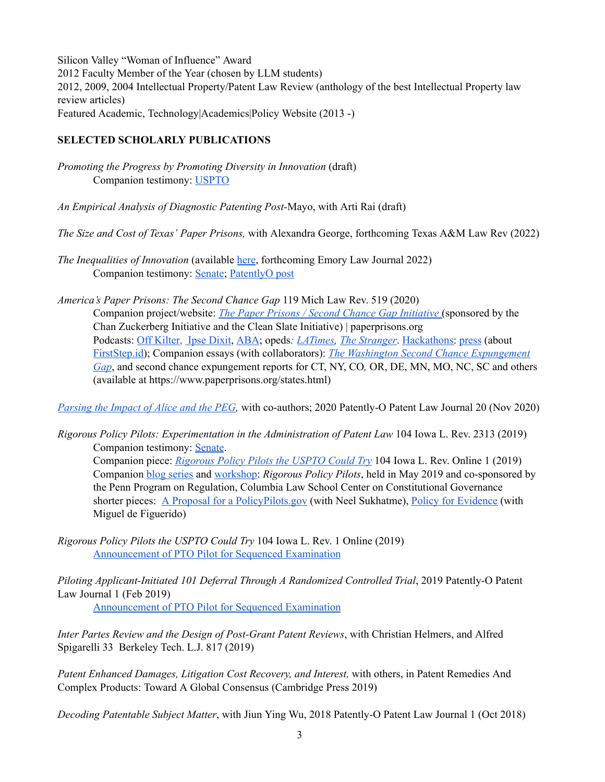Silicon Valley "Woman of Influence" Award 2012 Faculty Member of the Year (chosen by LLM students) 2012, 2009, 2004 Intellectual Property/Patent Law Review (anthology of the best Intellectual Property law review articles) Featured Academic, [Technology|Academics|Policy](http://www.techpolicy.com/) Website (2013 -)

### **SELECTED SCHOLARLY PUBLICATIONS**

*Promoting the Progress by Promoting Diversity in Innovation* (draft) Companion testimony: [USPTO](https://www.uspto.gov/about-us/news-updates/uspto-releases-success-act-report-congress)

*An Empirical Analysis of Diagnostic Patenting Post-*Mayo, with Arti Rai (draft)

*The Size and Cost of Texas' Paper Prisons,* with Alexandra George, forthcoming Texas A&M Law Rev (2022)

- *The Inequalities of Innovation* (available *here*, forthcoming Emory Law Journal 2022) Companion testimony: [Senate](https://www.judiciary.senate.gov/download/chien-testimony); [PatentlyO](https://patentlyo.com/patent/2020/11/advancing-innovation-entrepreneurship.html) post
- *America's Paper Prisons: The Second Chance Gap* 119 Mich Law Rev. 519 (2020) Companion project/website: *The Paper Prisons / Second Chance Gap [Initiative](https://www.paperprisons.org/)* (sponsored by the Chan Zuckerberg Initiative and the Clean Slate Initiative) | paperprisons.org Podcasts: Off [Kilter,](https://podcasts.apple.com/us/podcast/off-kilter-with-rebecca-vallas/id994153765?source=post_page---------------------------) Ipse [Dixit,](https://shows.acast.com/ipse-dixit/episodes/colleen-chien-on-criminal-justice-policy-reform) [ABA](https://www.abajournal.com/legalrebels/article/rebels_podcast_episode_045); opeds*: [LATimes](https://www.latimes.com/opinion/story/2019-08-27/clean-slate-laws-criminal-justice-reform-california), The [Stranger](https://www.thestranger.com/slog/2020/02/17/42891210/to-the-state-legislature-fulfill-the-promise-you-made-pass-the-clean-slate-act-today)*. [Hackathons](https://law.scu.edu/event/second-annual-2nd-chances-empathy-hackathon/): [press](https://medium.com/@ZoeRivka/a-first-step-to-obtaining-official-id-after-prison-7ee1cb7a522e) (about [FirstStep.id\)](https://firststep.id/); Companion essays (with collaborators): *The Washington Second Chance [Expungement](https://digitalcommons.law.scu.edu/facpubs/971/) [Gap](https://digitalcommons.law.scu.edu/facpubs/971/)*, and second chance expungement reports for CT, NY, CO*,* OR, DE, MN, MO, NC, SC and others (available at https://www.paperprisons.org/states.html)

*[Parsing](https://patentlyo.com/patent/2020/11/patently-journal-parsing.html) the Impact of Alice and the PEG,* with co-authors; 2020 [Patently-O](https://www.ssrn.com/abstract=3267742) Patent Law Journal 20 (Nov 2020)

*Rigorous Policy Pilots: Experimentation in the Administration of Patent Law* 104 Iowa L. Rev. 2313 (2019) Companion testimony: [Senate](https://www.judiciary.senate.gov/download/chien-testimony). Companion piece: *[Rigorous](https://ilr.law.uiowa.edu/online/volume-104/rigorous-policy-pilots-the-uspto-could-try/) Policy Pilots the USPTO Could Try* 104 Iowa L. Rev. Online 1 (2019) Companion blog [series](https://www.theregreview.org/2019/11/18/using-rigorous-policy-pilots-to-improve-governance/) and [workshop](https://www.law.upenn.edu/institutes/ppr/policypilots/): *Rigorous Policy Pilots*, held in May 2019 and co-sponsored by the Penn Program on Regulation, Columbia Law School Center on Constitutional Governance shorter pieces: A Proposal for a [PolicyPilots.gov](https://www.theregreview.org/2019/11/19/chien-sukhatme-proposal-policypilots-gov/) (with Neel Sukhatme), Policy for [Evidence](https://www.theregreview.org/2019/12/04/chien-defigueiredo-policy-evidence/) (with Miguel de Figuerido)

*Rigorous Policy Pilots the USPTO Could Try* 104 Iowa L. Rev. 1 Online (2019) [Announcement](https://ipo.org/wp-content/uploads/2021/04/Response-to-Sens.-Tillis-Cotton-on-Sequenced-Examination.pdf) of PTO Pilot for Sequenced Examination

*Piloting Applicant-Initiated 101 Deferral Through A Randomized Controlled Trial*, 2019 Patently-O Patent Law Journal 1 (Feb 2019)

[Announcement](https://ipo.org/wp-content/uploads/2021/04/Response-to-Sens.-Tillis-Cotton-on-Sequenced-Examination.pdf) of PTO Pilot for Sequenced Examination

*Inter Partes Review and the Design of Post-Grant Patent Reviews*, with Christian Helmers, and Alfred Spigarelli 33 Berkeley Tech. L.J. 817 (2019)

*Patent Enhanced Damages, Litigation Cost Recovery, and Interest,* with others, in Patent Remedies And Complex Products: Toward A Global Consensus (Cambridge Press 2019)

*Decoding [Patentable](https://www.ssrn.com/abstract=3267742) Subject Matter*, with Jiun Ying Wu, 2018 [Patently-O](https://www.ssrn.com/abstract=3267742) Patent Law Journal 1 (Oct 2018)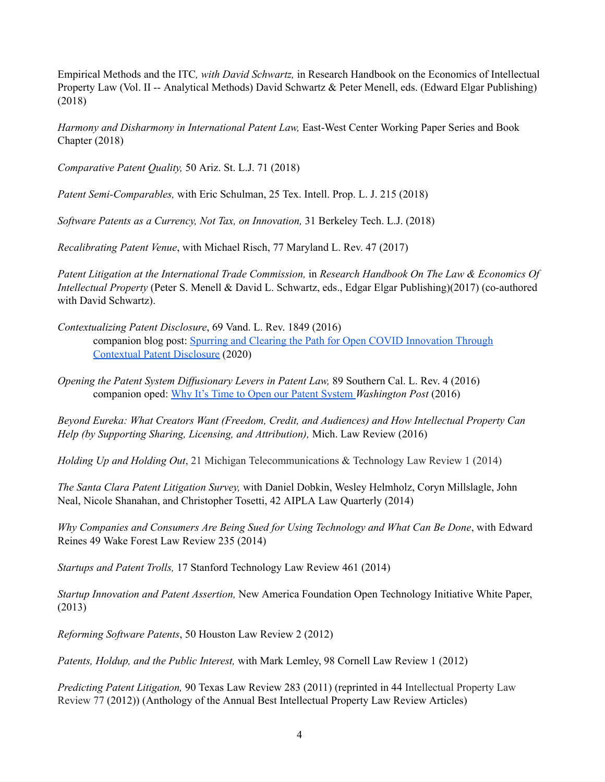Empirical Methods and the ITC*, with David Schwartz,* in Research Handbook on the Economics of Intellectual Property Law (Vol. II -- Analytical Methods) David Schwartz & Peter Menell, eds. (Edward Elgar Publishing) (2018)

*Harmony and Disharmony in International Patent Law,* East-West Center Working Paper Series and Book Chapter (2018)

*Comparative Patent Quality,* 50 Ariz. St. L.J. 71 (2018)

*Patent Semi-Comparables,* with Eric Schulman, 25 Tex. Intell. Prop. L. J. 215 (2018)

*Software Patents as a Currency, Not Tax, on Innovation,* 31 Berkeley Tech. L.J. (2018)

*Recalibrating Patent Venue*, with Michael Risch, 77 Maryland L. Rev. 47 (2017)

*Patent Litigation at the International Trade Commission,* in *Research Handbook On The Law & Economics Of Intellectual Property* (Peter S. Menell & David L. Schwartz, eds., Edgar Elgar Publishing)(2017) (co-authored with David Schwartz).

- *Contextualizing Patent Disclosure*, 69 Vand. L. Rev. 1849 (2016) companion blog post: Spurring and Clearing the Path for Open COVID [Innovation](https://patentlyo.com/patent/2020/05/innovation-contextual-disclosure.html) Through [Contextual](https://patentlyo.com/patent/2020/05/innovation-contextual-disclosure.html) Patent Disclosure (2020)
- *Opening the Patent System Dif usionary Levers in Patent Law,* 89 Southern Cal. L. Rev. 4 (2016) companion oped: Why It's Time to Open our Patent [System](https://www.washingtonpost.com/news/innovations/wp/2015/06/30/why-its-time-to-open-up-our-patent-system/) *Washington Post* (2016)

*Beyond Eureka: What Creators Want (Freedom, Credit, and Audiences) and How Intellectual Property Can Help (by Supporting Sharing, Licensing, and Attribution),* Mich. Law Review (2016)

*Holding Up and Holding Out*, 21 Michigan Telecommunications & Technology Law Review 1 (2014)

*The Santa Clara Patent Litigation Survey,* with Daniel Dobkin, Wesley Helmholz, Coryn Millslagle, John Neal, Nicole Shanahan, and Christopher Tosetti, 42 AIPLA Law Quarterly (2014)

*Why Companies and Consumers Are Being Sued for Using Technology and What Can Be Done*, with Edward Reines 49 Wake Forest Law Review 235 (2014)

*Startups and Patent Trolls,* 17 Stanford Technology Law Review 461 (2014)

*Startup Innovation and Patent Assertion,* New America Foundation Open Technology Initiative White Paper, (2013)

*Reforming Software Patents*, 50 Houston Law Review 2 (2012)

*Patents, Holdup, and the Public Interest,* with Mark Lemley, 98 Cornell Law Review 1 (2012)

*Predicting Patent Litigation,* 90 Texas Law Review 283 (2011) (reprinted in 44 Intellectual Property Law Review 77 (2012)) (Anthology of the Annual Best Intellectual Property Law Review Articles)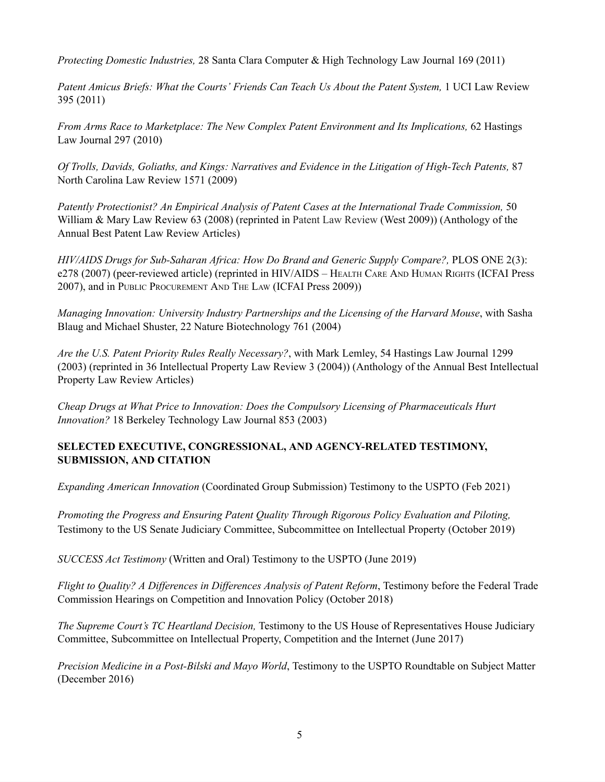*Protecting Domestic Industries,* 28 Santa Clara Computer & High Technology Law Journal 169 (2011)

*Patent Amicus Briefs: What the Courts' Friends Can Teach Us About the Patent System,* 1 UCI Law Review 395 (2011)

*From Arms Race to Marketplace: The New Complex Patent Environment and Its Implications,* 62 Hastings Law Journal 297 (2010)

*Of Trolls, Davids, Goliaths, and Kings: Narratives and Evidence in the Litigation of High-Tech Patents,* 87 North Carolina Law Review 1571 (2009)

*Patently Protectionist? An Empirical Analysis of Patent Cases at the International Trade Commission,* 50 William & Mary Law Review 63 (2008) (reprinted in Patent Law Review (West 2009)) (Anthology of the Annual Best Patent Law Review Articles)

*HIV/AIDS Drugs for Sub-Saharan Africa: How Do Brand and Generic Supply Compare?,* PLOS ONE 2(3): e278 (2007) (peer-reviewed article) (reprinted in HIV/AIDS – HEALTH CARE AND HUMAN RIGHTS (ICFAI Press 2007), and in PUBLIC PROCUREMENT AND THE LAW (ICFAI Press 2009))

*Managing Innovation: University Industry Partnerships and the Licensing of the Harvard Mouse*, with Sasha Blaug and Michael Shuster, 22 Nature Biotechnology 761 (2004)

*Are the U.S. Patent Priority Rules Really Necessary?*, with Mark Lemley, 54 Hastings Law Journal 1299 (2003) (reprinted in 36 Intellectual Property Law Review 3 (2004)) (Anthology of the Annual Best Intellectual Property Law Review Articles)

*Cheap Drugs at What Price to Innovation: Does the Compulsory Licensing of Pharmaceuticals Hurt Innovation?* 18 Berkeley Technology Law Journal 853 (2003)

# **SELECTED EXECUTIVE, CONGRESSIONAL, AND AGENCY-RELATED TESTIMONY, SUBMISSION, AND CITATION**

*Expanding American Innovation* (Coordinated Group Submission) Testimony to the USPTO (Feb 2021)

*Promoting the Progress and Ensuring Patent Quality Through Rigorous Policy Evaluation and Piloting,* Testimony to the US Senate Judiciary Committee, Subcommittee on Intellectual Property (October 2019)

*SUCCESS Act Testimony* (Written and Oral) Testimony to the USPTO (June 2019)

*Flight to Quality? A Dif erences in Dif erences Analysis of Patent Reform*, Testimony before the Federal Trade Commission Hearings on Competition and Innovation Policy (October 2018)

*The Supreme Court's TC Heartland Decision,* Testimony to the US House of Representatives House Judiciary Committee, Subcommittee on Intellectual Property, Competition and the Internet (June 2017)

*Precision Medicine in a Post-Bilski and Mayo World*, Testimony to the USPTO Roundtable on Subject Matter (December 2016)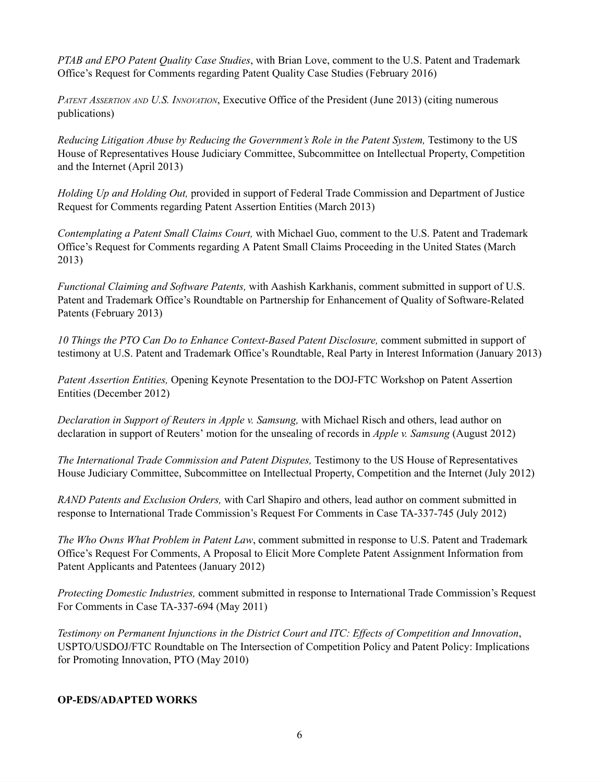*PTAB and EPO Patent Quality Case Studies*, with Brian Love, comment to the U.S. Patent and Trademark Office's Request for Comments regarding Patent Quality Case Studies (February 2016)

*PATENT ASSERTION AND U.S. INNOVATION*, Executive Office of the President (June 2013) (citing numerous publications)

*Reducing Litigation Abuse by Reducing the Government's Role in the Patent System,* Testimony to the US House of Representatives House Judiciary Committee, Subcommittee on Intellectual Property, Competition and the Internet (April 2013)

*Holding Up and Holding Out,* provided in support of Federal Trade Commission and Department of Justice Request for Comments regarding Patent Assertion Entities (March 2013)

*Contemplating a Patent Small Claims Court,* with Michael Guo, comment to the U.S. Patent and Trademark Office's Request for Comments regarding A Patent Small Claims Proceeding in the United States (March 2013)

*Functional Claiming and Software Patents,* with Aashish Karkhanis, comment submitted in support of U.S. Patent and Trademark Office's Roundtable on Partnership for Enhancement of Quality of Software-Related Patents (February 2013)

*10 Things the PTO Can Do to Enhance Context-Based Patent Disclosure,* comment submitted in support of testimony at U.S. Patent and Trademark Office's Roundtable, Real Party in Interest Information (January 2013)

*Patent Assertion Entities,* Opening Keynote Presentation to the DOJ-FTC Workshop on Patent Assertion Entities (December 2012)

*Declaration in Support of Reuters in Apple v. Samsung,* with Michael Risch and others, lead author on declaration in support of Reuters' motion for the unsealing of records in *Apple v. Samsung* (August 2012)

*The International Trade Commission and Patent Disputes,* Testimony to the US House of Representatives House Judiciary Committee, Subcommittee on Intellectual Property, Competition and the Internet (July 2012)

*RAND Patents and Exclusion Orders,* with Carl Shapiro and others, lead author on comment submitted in response to International Trade Commission's Request For Comments in Case TA-337-745 (July 2012)

*The Who Owns What Problem in Patent Law*, comment submitted in response to U.S. Patent and Trademark Office's Request For Comments, A Proposal to Elicit More Complete Patent Assignment Information from Patent Applicants and Patentees (January 2012)

*Protecting Domestic Industries,* comment submitted in response to International Trade Commission's Request For Comments in Case TA-337-694 (May 2011)

*Testimony on Permanent Injunctions in the District Court and ITC: Ef ects of Competition and Innovation*, USPTO/USDOJ/FTC Roundtable on The Intersection of Competition Policy and Patent Policy: Implications for Promoting Innovation, PTO (May 2010)

# **OP-EDS/ADAPTED WORKS**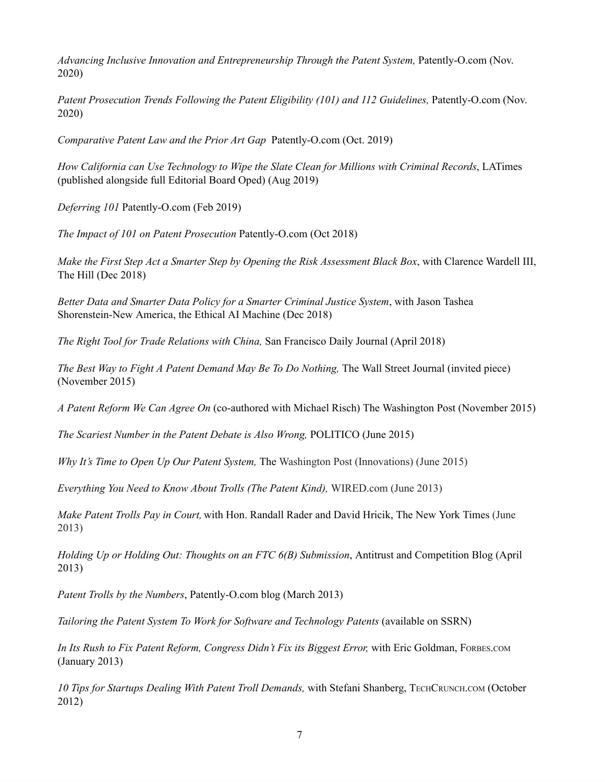*Advancing Inclusive Innovation and Entrepreneurship Through the Patent System,* Patently-O.com (Nov. 2020)

*Patent Prosecution Trends Following the Patent Eligibility (101) and 112 Guidelines,* Patently-O.com (Nov. 2020)

*Comparative Patent Law and the Prior Art Gap* Patently-O.com (Oct. 2019)

*How California can Use Technology to Wipe the Slate Clean for Millions with Criminal Records*, LATimes (published alongside full Editorial Board Oped) (Aug 2019)

*Deferring 101* Patently-O.com (Feb 2019)

*The Impact of 101 on Patent Prosecution* Patently-O.com (Oct 2018)

*Make the First Step Act a Smarter Step by Opening the Risk Assessment Black Box*, with Clarence Wardell III, The Hill (Dec 2018)

*Better Data and Smarter Data Policy for a Smarter Criminal Justice System*, with Jason Tashea Shorenstein-New America, the Ethical AI Machine (Dec 2018)

*The Right Tool for Trade [Relations](https://digitalcommons.law.scu.edu/cgi/viewcontent.cgi?article=1950&context=facpubs) with China,* San Francisco Daily Journal (April 2018)

*The Best Way to Fight A Patent Demand May Be To Do Nothing,* The Wall Street Journal (invited piece) (November 2015)

*A Patent Reform We Can Agree On* (co-authored with Michael Risch) The Washington Post (November 2015)

*The Scariest Number in the Patent Debate is Also Wrong,* POLITICO (June 2015)

*Why It's Time to Open Up Our Patent System,* The Washington Post (Innovations) (June 2015)

*[Everything](http://www.wired.com/opinion/2013/06/everything-you-need-to-know-about-trolls-the-patent-kind/) You Need to Know About Trolls (The Patent Kind),* WIRED.com (June 2013)

*Make [Patent](http://www.nytimes.com/2013/06/05/opinion/make-patent-trolls-pay-in-court.html?smid=pl-share) Trolls Pay in Court,* with Hon. Randall Rader and David Hricik, The New York Times (June 2013)

*Holding Up or Holding Out: Thoughts on an FTC 6(B) [Submission](http://lawprofessors.typepad.com/antitrustprof_blog/2013/04/colleen-chien-on-patent-assertion-entities.html)*, Antitrust and Competition Blog (April 2013)

*Patent Trolls by the Numbers*, Patently-O.com blog (March 2013)

*Tailoring the Patent System To Work for Software and Technology Patents* (available on SSRN)

*In Its Rush to Fix Patent Reform, Congress Didn't Fix its Biggest Error,* with Eric Goldman, FORBES.COM (January 2013)

*10 Tips for Startups Dealing With Patent Troll Demands,* with Stefani Shanberg, TECHCRUNCH.COM (October 2012)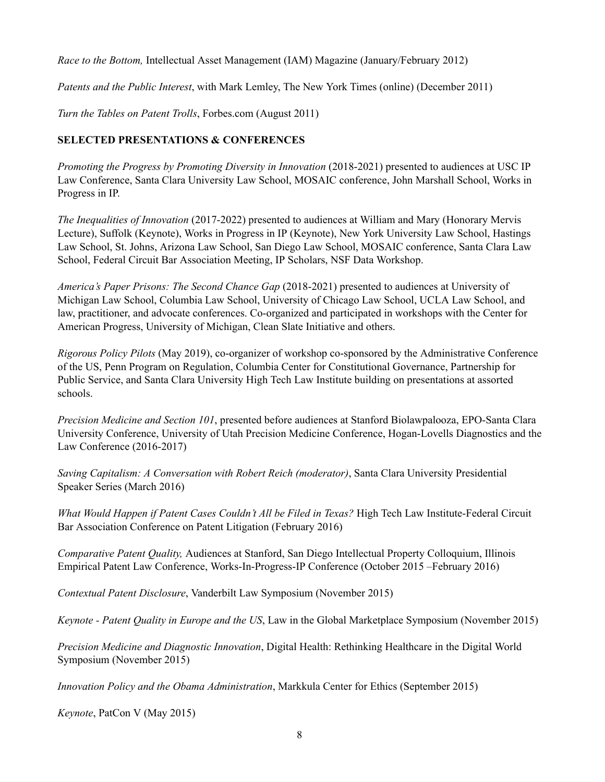*Race to the Bottom,* Intellectual Asset Management (IAM) Magazine (January/February 2012)

*Patents and the Public Interest*, with Mark Lemley, The New York Times (online) (December 2011)

*Turn the Tables on Patent Trolls*, Forbes.com (August 2011)

# **SELECTED PRESENTATIONS & CONFERENCES**

*Promoting the Progress by Promoting Diversity in Innovation* (2018-2021) presented to audiences at USC IP Law Conference, Santa Clara University Law School, MOSAIC conference, John Marshall School, Works in Progress in IP.

*The Inequalities of Innovation* (2017-2022) presented to audiences at William and Mary (Honorary Mervis Lecture), Suffolk (Keynote), Works in Progress in IP (Keynote), New York University Law School, Hastings Law School, St. Johns, Arizona Law School, San Diego Law School, MOSAIC conference, Santa Clara Law School, Federal Circuit Bar Association Meeting, IP Scholars, NSF Data Workshop.

*America's Paper Prisons: The Second Chance Gap* (2018-2021) presented to audiences at University of Michigan Law School, Columbia Law School, University of Chicago Law School, UCLA Law School, and law, practitioner, and advocate conferences. Co-organized and participated in workshops with the Center for American Progress, University of Michigan, Clean Slate Initiative and others.

*Rigorous Policy Pilots* (May 2019), co-organizer of workshop co-sponsored by the Administrative Conference of the US, Penn Program on Regulation, Columbia Center for Constitutional Governance, Partnership for Public Service, and Santa Clara University High Tech Law Institute building on presentations at assorted schools.

*Precision Medicine and Section 101*, presented before audiences at Stanford Biolawpalooza, EPO-Santa Clara University Conference, University of Utah Precision Medicine Conference, Hogan-Lovells Diagnostics and the Law Conference (2016-2017)

*Saving Capitalism: A Conversation with Robert Reich (moderator)*, Santa Clara University Presidential Speaker Series (March 2016)

*What Would Happen if Patent Cases Couldn't All be Filed in Texas?* High Tech Law Institute-Federal Circuit Bar Association Conference on Patent Litigation (February 2016)

*Comparative Patent Quality,* Audiences at Stanford, San Diego Intellectual Property Colloquium, Illinois Empirical Patent Law Conference, Works-In-Progress-IP Conference (October 2015 –February 2016)

*Contextual Patent Disclosure*, Vanderbilt Law Symposium (November 2015)

*Keynote - Patent Quality in Europe and the US*, Law in the Global Marketplace Symposium (November 2015)

*Precision Medicine and Diagnostic Innovation*, Digital Health: Rethinking Healthcare in the Digital World Symposium (November 2015)

*Innovation Policy and the Obama Administration*, Markkula Center for Ethics (September 2015)

*Keynote*, PatCon V (May 2015)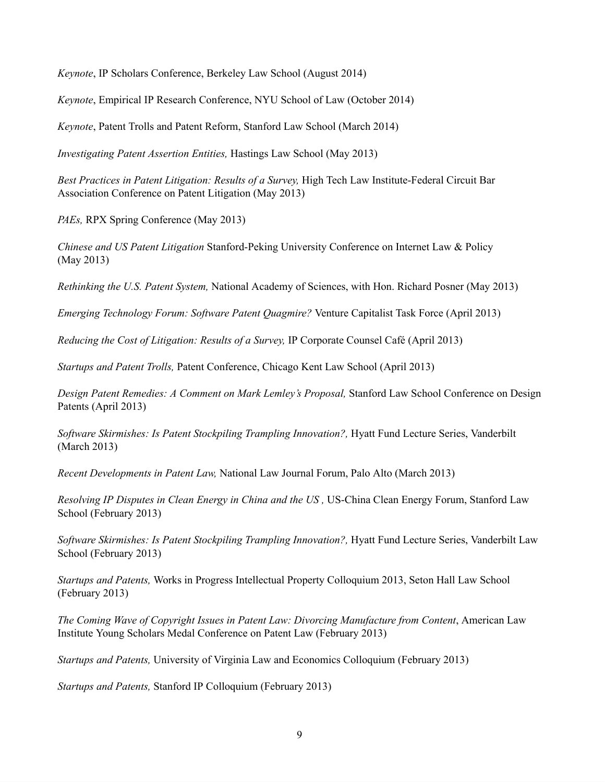*Keynote*, IP Scholars Conference, Berkeley Law School (August 2014)

*Keynote*, Empirical IP Research Conference, NYU School of Law (October 2014)

*Keynote*, Patent Trolls and Patent Reform, Stanford Law School (March 2014)

*Investigating Patent Assertion Entities,* Hastings Law School (May 2013)

*Best Practices in Patent Litigation: Results of a Survey,* High Tech Law Institute-Federal Circuit Bar Association Conference on Patent Litigation (May 2013)

*PAEs,* RPX Spring Conference (May 2013)

*Chinese and US Patent Litigation* Stanford-Peking University Conference on Internet Law & Policy (May 2013)

*Rethinking the U.S. Patent System,* National Academy of Sciences, with Hon. Richard Posner (May 2013)

*Emerging Technology Forum: Software Patent Quagmire?* Venture Capitalist Task Force (April 2013)

*Reducing the Cost of Litigation: Results of a Survey,* IP Corporate Counsel Café (April 2013)

*Startups and Patent Trolls,* Patent Conference, Chicago Kent Law School (April 2013)

*Design Patent Remedies: A Comment on Mark Lemley's Proposal,* Stanford Law School Conference on Design Patents (April 2013)

*Software Skirmishes: Is Patent Stockpiling Trampling Innovation?,* Hyatt Fund Lecture Series, Vanderbilt (March 2013)

*Recent Developments in Patent Law,* National Law Journal Forum, Palo Alto (March 2013)

*Resolving IP Disputes in Clean Energy in China and the US ,* US-China Clean Energy Forum, Stanford Law School (February 2013)

*Software Skirmishes: Is Patent Stockpiling Trampling Innovation?,* Hyatt Fund Lecture Series, Vanderbilt Law School (February 2013)

*Startups and Patents,* Works in Progress Intellectual Property Colloquium 2013, Seton Hall Law School (February 2013)

*The Coming Wave of Copyright Issues in Patent Law: Divorcing Manufacture from Content*, American Law Institute Young Scholars Medal Conference on Patent Law (February 2013)

*Startups and Patents,* University of Virginia Law and Economics Colloquium (February 2013)

*Startups and Patents,* Stanford IP Colloquium (February 2013)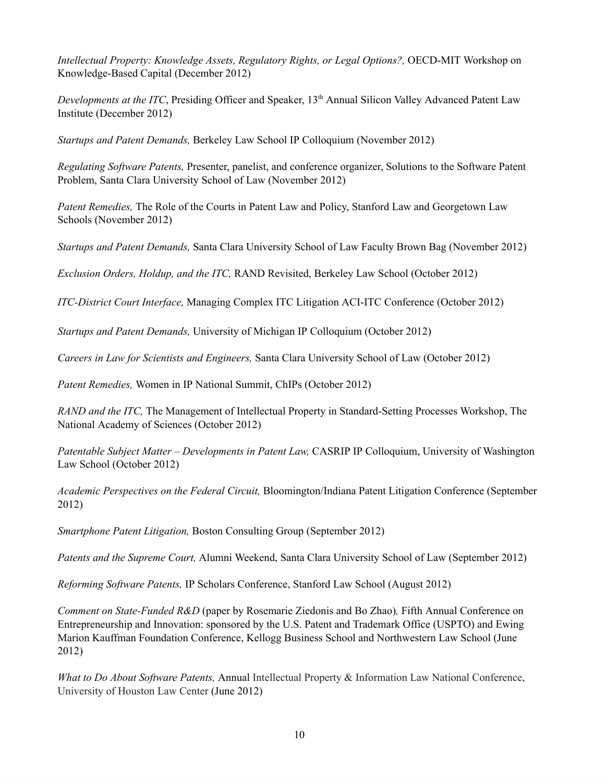*Intellectual Property: Knowledge Assets, Regulatory Rights, or Legal Options?,* OECD-MIT Workshop on Knowledge-Based Capital (December 2012)

Developments at the ITC, Presiding Officer and Speaker, 13<sup>th</sup> Annual Silicon Valley Advanced Patent Law Institute (December 2012)

*Startups and Patent Demands,* Berkeley Law School IP Colloquium (November 2012)

*Regulating Software Patents,* Presenter, panelist, and conference organizer, Solutions to the Software Patent Problem, Santa Clara University School of Law (November 2012)

*Patent Remedies,* The Role of the Courts in Patent Law and Policy, Stanford Law and Georgetown Law Schools (November 2012)

*Startups and Patent Demands,* Santa Clara University School of Law Faculty Brown Bag (November 2012)

*Exclusion Orders, Holdup, and the ITC,* RAND Revisited, Berkeley Law School (October 2012)

*ITC-District Court Interface,* Managing Complex ITC Litigation ACI-ITC Conference (October 2012)

*Startups and Patent Demands,* University of Michigan IP Colloquium (October 2012)

*Careers in Law for Scientists and Engineers,* Santa Clara University School of Law (October 2012)

*Patent Remedies,* Women in IP National Summit, ChIPs (October 2012)

*RAND and the ITC,* The Management of Intellectual Property in Standard-Setting Processes Workshop, The National Academy of Sciences (October 2012)

*Patentable Subject Matter – Developments in Patent Law,* CASRIP IP Colloquium, University of Washington Law School (October 2012)

*Academic Perspectives on the Federal Circuit,* Bloomington/Indiana Patent Litigation Conference (September 2012)

*Smartphone Patent Litigation,* Boston Consulting Group (September 2012)

*Patents and the Supreme Court,* Alumni Weekend, Santa Clara University School of Law (September 2012)

*Reforming Software Patents,* IP Scholars Conference, Stanford Law School (August 2012)

*Comment on State-Funded R&D* (paper by Rosemarie Ziedonis and Bo Zhao)*,* Fifth Annual Conference on Entrepreneurship and Innovation: sponsored by the U.S. Patent and Trademark Office (USPTO) and Ewing Marion Kauffman Foundation Conference, Kellogg Business School and Northwestern Law School (June 2012)

*What to Do About Software Patents,* Annual Intellectual Property & Information Law National Conference, University of Houston Law Center (June 2012)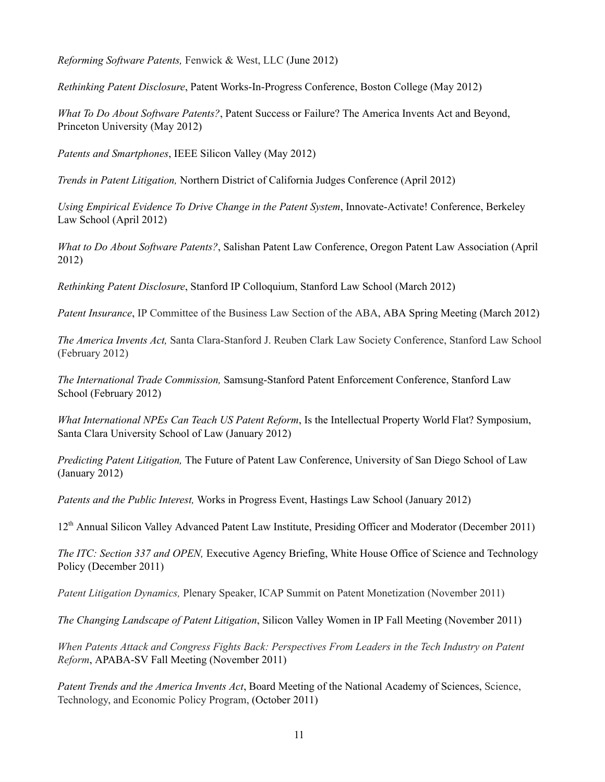*Reforming Software Patents,* Fenwick & West, LLC (June 2012)

*Rethinking Patent Disclosure*, Patent Works-In-Progress Conference, Boston College (May 2012)

*What To Do About Software Patents?*, Patent Success or Failure? The America Invents Act and Beyond, Princeton University (May 2012)

*Patents and Smartphones*, IEEE Silicon Valley (May 2012)

*Trends in Patent Litigation,* Northern District of California Judges Conference (April 2012)

*Using Empirical Evidence To Drive Change in the Patent System*, Innovate-Activate! Conference, Berkeley Law School (April 2012)

*What to Do About Software Patents?*, Salishan Patent Law Conference, Oregon Patent Law Association (April 2012)

*Rethinking Patent Disclosure*, Stanford IP Colloquium, Stanford Law School (March 2012)

*Patent Insurance*, IP Committee of the Business Law Section of the ABA, ABA Spring Meeting (March 2012)

*The America Invents Act,* Santa Clara-Stanford J. Reuben Clark Law Society Conference, Stanford Law School (February 2012)

*The International Trade Commission,* Samsung-Stanford Patent Enforcement Conference, Stanford Law School (February 2012)

*What International NPEs Can Teach US Patent Reform*, Is the Intellectual Property World Flat? Symposium, Santa Clara University School of Law (January 2012)

*Predicting Patent Litigation,* The Future of Patent Law Conference, University of San Diego School of Law (January 2012)

*Patents and the Public Interest,* Works in [Progress](http://www.wcl.american.edu/pijip/wipip2007.cfm) Event, Hastings Law School (January 2012)

12<sup>th</sup> Annual Silicon Valley Advanced Patent Law Institute, Presiding Officer and Moderator (December 2011)

*The ITC: Section 337 and OPEN,* Executive Agency Briefing, White House Office of Science and Technology Policy (December 2011)

*Patent Litigation Dynamics,* Plenary Speaker, ICAP Summit on Patent Monetization (November 2011)

*The Changing Landscape of Patent Litigation*, Silicon Valley Women in IP Fall Meeting (November 2011)

*When Patents Attack and Congress Fights Back: Perspectives From Leaders in the Tech Industry on Patent Reform*, APABA-SV Fall Meeting (November 2011)

*Patent Trends and the America Invents Act*, Board Meeting of the National Academy of Sciences, Science, Technology, and Economic Policy Program, (October 2011)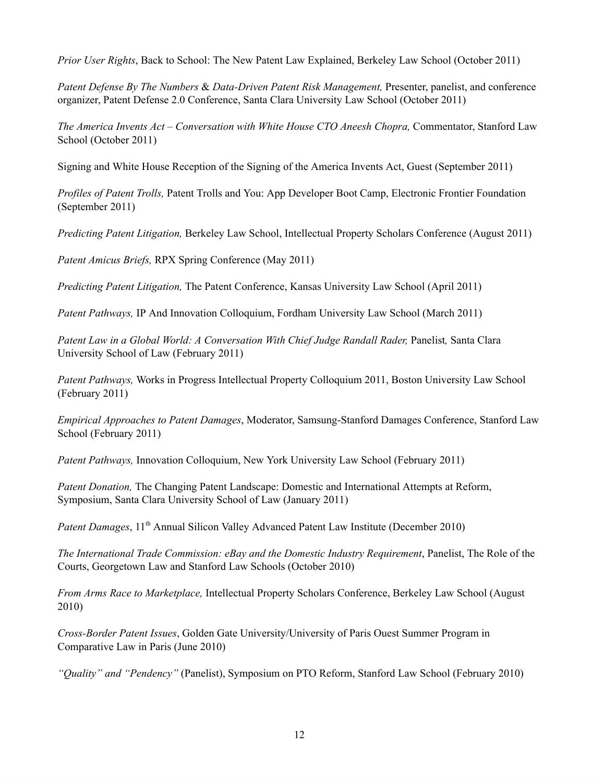*Prior User Rights*, Back to School: The New Patent Law Explained, Berkeley Law School (October 2011)

*Patent Defense By The Numbers* & *Data-Driven Patent Risk Management,* Presenter, panelist, and conference organizer, Patent Defense 2.0 Conference, Santa Clara University Law School (October 2011)

*The America Invents Act – Conversation with White House CTO Aneesh Chopra,* Commentator, Stanford Law School (October 2011)

Signing and White House Reception of the Signing of the America Invents Act, Guest (September 2011)

*Profiles of Patent Trolls,* Patent Trolls and You: App Developer Boot Camp, Electronic Frontier Foundation (September 2011)

*Predicting Patent Litigation,* Berkeley Law School, Intellectual Property Scholars Conference (August 2011)

*Patent Amicus Briefs,* RPX Spring Conference (May 2011)

*Predicting Patent Litigation,* The Patent Conference, Kansas University Law School (April 2011)

*Patent Pathways,* IP And Innovation Colloquium, Fordham University Law School (March 2011)

*Patent Law in a Global World: A Conversation With Chief Judge Randall Rader,* Panelist*,* Santa Clara University School of Law (February 2011)

*Patent Pathways,* Works in Progress Intellectual Property [Colloquium](http://www.wcl.american.edu/pijip/wipip2007.cfm) 2011, Boston University Law School (February 2011)

*Empirical Approaches to Patent Damages*, Moderator, Samsung-Stanford Damages Conference, Stanford Law School (February 2011)

*Patent Pathways,* Innovation Colloquium, New York University Law School (February 2011)

*Patent Donation,* The Changing Patent Landscape: Domestic and International Attempts at Reform, Symposium, Santa Clara University School of Law (January 2011)

Patent Damages, 11<sup>th</sup> Annual Silicon Valley Advanced Patent Law Institute (December 2010)

*The International Trade Commission: eBay and the Domestic Industry Requirement*, Panelist, The Role of the Courts, Georgetown Law and Stanford Law Schools (October 2010)

*From Arms Race to Marketplace,* Intellectual Property Scholars Conference, Berkeley Law School (August 2010)

*Cross-Border Patent Issues*, Golden Gate University/University of Paris Ouest Summer Program in Comparative Law in Paris (June 2010)

*"Quality" and "Pendency"* (Panelist), Symposium on PTO Reform, Stanford Law School (February 2010)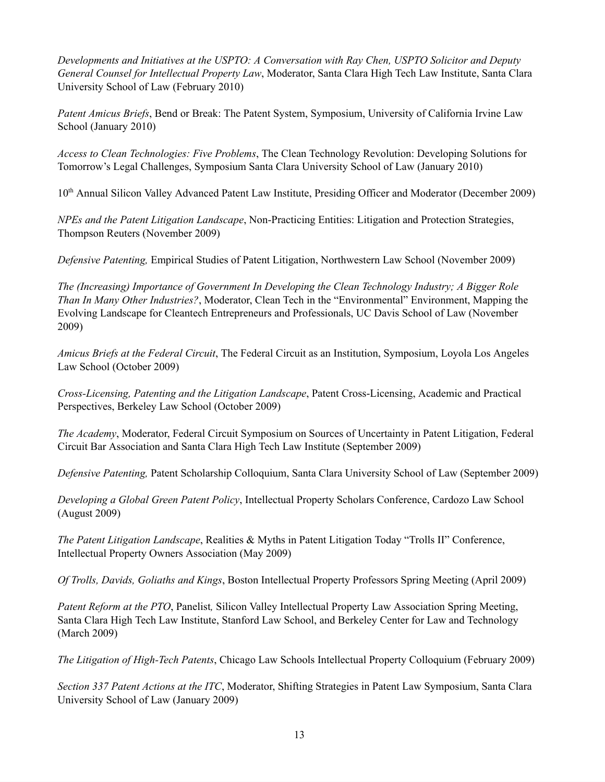*Developments and Initiatives at the USPTO: A Conversation with Ray Chen, USPTO Solicitor and Deputy General Counsel for Intellectual Property Law*, Moderator, Santa Clara High Tech Law Institute, Santa Clara University School of Law (February 2010)

*Patent Amicus Briefs*, Bend or Break: The Patent System, Symposium, University of California Irvine Law School (January 2010)

*Access to Clean Technologies: Five Problems*, The Clean Technology Revolution: Developing Solutions for Tomorrow's Legal Challenges, Symposium Santa Clara University School of Law (January 2010)

10<sup>th</sup> Annual Silicon Valley Advanced Patent Law Institute, Presiding Officer and Moderator (December 2009)

*NPEs and the Patent Litigation Landscape*, Non-Practicing Entities: Litigation and Protection Strategies, Thompson Reuters (November 2009)

*Defensive Patenting,* Empirical Studies of Patent Litigation, Northwestern Law School (November 2009)

*The (Increasing) Importance of Government In Developing the Clean Technology Industry; A Bigger Role Than In Many Other Industries?*, Moderator, Clean Tech in the "Environmental" Environment, Mapping the Evolving Landscape for Cleantech Entrepreneurs and Professionals, UC Davis School of Law (November 2009)

*Amicus Briefs at the Federal Circuit*, The Federal Circuit as an Institution, Symposium, Loyola Los Angeles Law School (October 2009)

*Cross-Licensing, Patenting and the Litigation Landscape*, Patent Cross-Licensing, Academic and Practical Perspectives, Berkeley Law School (October 2009)

*The Academy*, Moderator, Federal Circuit Symposium on Sources of Uncertainty in Patent Litigation, Federal Circuit Bar Association and Santa Clara High Tech Law Institute (September 2009)

*Defensive Patenting,* Patent Scholarship Colloquium, Santa Clara University School of Law (September 2009)

*Developing a Global Green Patent Policy*, Intellectual Property Scholars Conference, Cardozo Law School (August 2009)

*The Patent Litigation Landscape*, Realities & Myths in Patent Litigation Today "Trolls II" Conference, Intellectual Property Owners Association (May 2009)

*Of Trolls, Davids, Goliaths and Kings*, Boston Intellectual Property Professors Spring Meeting (April 2009)

*Patent Reform at the PTO*, Panelist*,* Silicon Valley Intellectual Property Law Association Spring Meeting, Santa Clara High Tech Law Institute, Stanford Law School, and Berkeley Center for Law and Technology (March 2009)

*The Litigation of High-Tech Patents*, Chicago Law Schools Intellectual Property Colloquium (February 2009)

*Section 337 Patent Actions at the ITC*, Moderator, Shifting Strategies in Patent Law Symposium, Santa Clara University School of Law (January 2009)